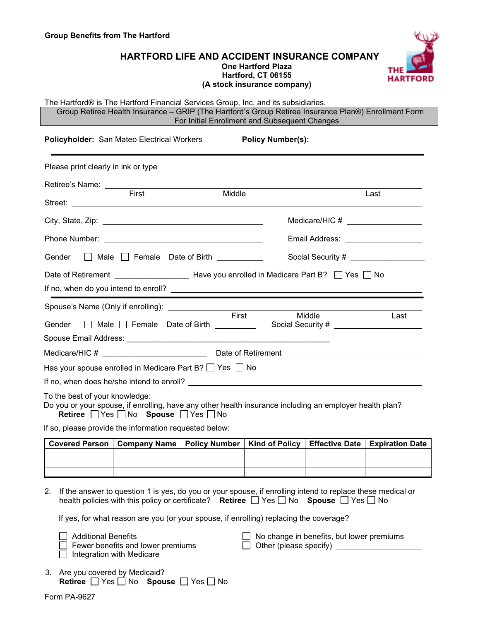## **HARTFORD LIFE AND ACCIDENT INSURANCE COMPANY One Hartford Plaza Hartford, CT 06155 (A stock insurance company)**



#### The Hartford® is The Hartford Financial Services Group, Inc. and its subsidiaries.

Group Retiree Health Insurance – GRIP (The Hartford's Group Retiree Insurance Plan®) Enrollment Form For Initial Enrollment and Subsequent Changes

|                                     | <b>Policyholder:</b> San Mateo Electrical Workers      |                                                                                                         | <b>Policy Number(s):</b> |                                     |
|-------------------------------------|--------------------------------------------------------|---------------------------------------------------------------------------------------------------------|--------------------------|-------------------------------------|
| Please print clearly in ink or type |                                                        |                                                                                                         |                          |                                     |
| Retiree's Name: ________            | First                                                  | Middle                                                                                                  |                          | Last                                |
|                                     |                                                        |                                                                                                         |                          |                                     |
|                                     |                                                        |                                                                                                         |                          | Medicare/HIC # ____________________ |
|                                     |                                                        |                                                                                                         |                          | Email Address: ___________________  |
| Gender                              |                                                        | $\Box$ Male $\Box$ Female Date of Birth                                                                 |                          |                                     |
|                                     |                                                        |                                                                                                         |                          |                                     |
|                                     |                                                        |                                                                                                         |                          |                                     |
|                                     | Spouse's Name (Only if enrolling): ________________    |                                                                                                         |                          |                                     |
| Gender                              |                                                        | First<br>□ Male □ Female Date of Birth _________                                                        | Middle                   | Last                                |
|                                     |                                                        |                                                                                                         |                          |                                     |
|                                     |                                                        |                                                                                                         |                          |                                     |
|                                     |                                                        | Has your spouse enrolled in Medicare Part B? $\Box$ Yes $\Box$ No                                       |                          |                                     |
|                                     |                                                        |                                                                                                         |                          |                                     |
| To the best of your knowledge:      | <b>Retiree</b> Yes No Spouse PYes No                   | Do you or your spouse, if enrolling, have any other health insurance including an employer health plan? |                          |                                     |
|                                     | If so, please provide the information requested below: |                                                                                                         |                          |                                     |

| Covered Person ∣ Company Name ∣ Policy Number ∣ Kind of Policy ∣ Effective Date ∣ Expiration Date |  |  |  |
|---------------------------------------------------------------------------------------------------|--|--|--|
|                                                                                                   |  |  |  |
|                                                                                                   |  |  |  |
|                                                                                                   |  |  |  |

2. If the answer to question 1 is yes, do you or your spouse, if enrolling intend to replace these medical or health policies with this policy or certificate? **Retiree No Spouse No** Spouse **No** No

If yes, for what reason are you (or your spouse, if enrolling) replacing the coverage?

Fewer benefits and lower premiums

 $\Box$  Integration with Medicare

- Additional Benefits  $\Box$  No change in benefits, but lower premiums<br>Fewer benefits and lower premiums  $\Box$  Other (please specify)  $\Box$
- 3. Are you covered by Medicaid? **Retiree** Yes no Spouse PYes No

Form PA-9627